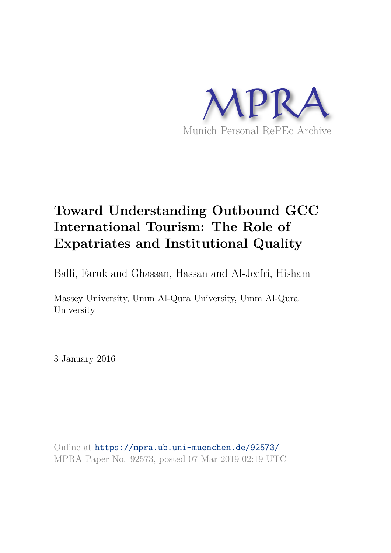

# **Toward Understanding Outbound GCC International Tourism: The Role of Expatriates and Institutional Quality**

Balli, Faruk and Ghassan, Hassan and Al-Jeefri, Hisham

Massey University, Umm Al-Qura University, Umm Al-Qura University

3 January 2016

Online at https://mpra.ub.uni-muenchen.de/92573/ MPRA Paper No. 92573, posted 07 Mar 2019 02:19 UTC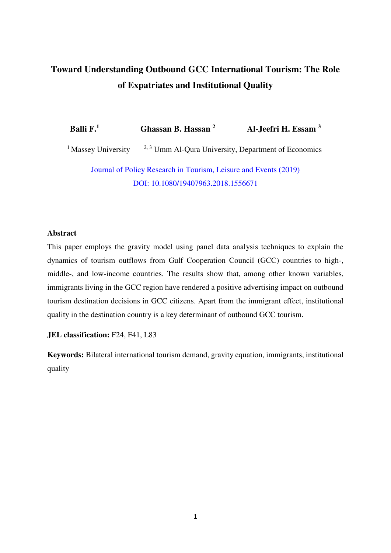# **Toward Understanding Outbound GCC International Tourism: The Role of Expatriates and Institutional Quality**

**Balli F.<sup>1</sup>Ghassan B. Hassan <sup>2</sup> Al-Jeefri H. Essam <sup>3</sup>** <sup>1</sup> Massey University  $2.3$  Umm Al-Qura University, Department of Economics Journal of Policy Research in Tourism, Leisure and Events (2019) DOI: [10.1080/19407963.2018.1556671](https://doi.org/10.1080/19407963.2018.1556671) 

# **Abstract**

This paper employs the gravity model using panel data analysis techniques to explain the dynamics of tourism outflows from Gulf Cooperation Council (GCC) countries to high-, middle-, and low-income countries. The results show that, among other known variables, immigrants living in the GCC region have rendered a positive advertising impact on outbound tourism destination decisions in GCC citizens. Apart from the immigrant effect, institutional quality in the destination country is a key determinant of outbound GCC tourism.

**JEL classification:** F24, F41, L83

**Keywords:** Bilateral international tourism demand, gravity equation, immigrants, institutional quality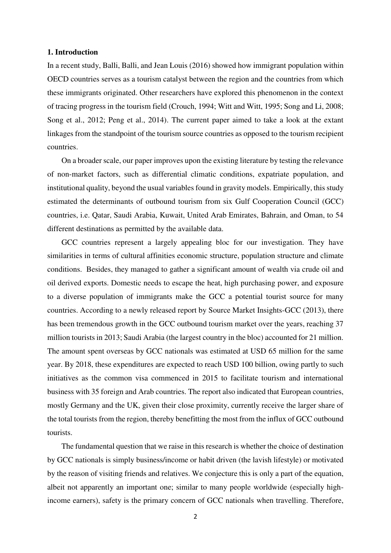#### **1. Introduction**

In a recent study, Balli, Balli, and Jean Louis (2016) showed how immigrant population within OECD countries serves as a tourism catalyst between the region and the countries from which these immigrants originated. Other researchers have explored this phenomenon in the context of tracing progress in the tourism field (Crouch, 1994; Witt and Witt, 1995; Song and Li, 2008; Song et al., 2012; Peng et al., 2014). The current paper aimed to take a look at the extant linkages from the standpoint of the tourism source countries as opposed to the tourism recipient countries.

On a broader scale, our paper improves upon the existing literature by testing the relevance of non-market factors, such as differential climatic conditions, expatriate population, and institutional quality, beyond the usual variables found in gravity models. Empirically, this study estimated the determinants of outbound tourism from six Gulf Cooperation Council (GCC) countries, i.e. Qatar, Saudi Arabia, Kuwait, United Arab Emirates, Bahrain, and Oman, to 54 different destinations as permitted by the available data.

GCC countries represent a largely appealing bloc for our investigation. They have similarities in terms of cultural affinities economic structure, population structure and climate conditions. Besides, they managed to gather a significant amount of wealth via crude oil and oil derived exports. Domestic needs to escape the heat, high purchasing power, and exposure to a diverse population of immigrants make the GCC a potential tourist source for many countries. According to a newly released report by Source Market Insights-GCC (2013), there has been tremendous growth in the GCC outbound tourism market over the years, reaching 37 million tourists in 2013; Saudi Arabia (the largest country in the bloc) accounted for 21 million. The amount spent overseas by GCC nationals was estimated at USD 65 million for the same year. By 2018, these expenditures are expected to reach USD 100 billion, owing partly to such initiatives as the common visa commenced in 2015 to facilitate tourism and international business with 35 foreign and Arab countries. The report also indicated that European countries, mostly Germany and the UK, given their close proximity, currently receive the larger share of the total tourists from the region, thereby benefitting the most from the influx of GCC outbound tourists.

The fundamental question that we raise in this research is whether the choice of destination by GCC nationals is simply business/income or habit driven (the lavish lifestyle) or motivated by the reason of visiting friends and relatives. We conjecture this is only a part of the equation, albeit not apparently an important one; similar to many people worldwide (especially highincome earners), safety is the primary concern of GCC nationals when travelling. Therefore,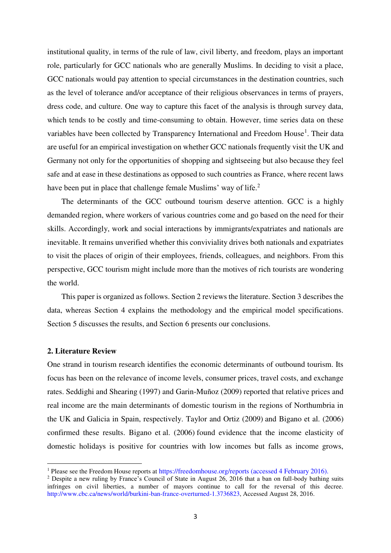institutional quality, in terms of the rule of law, civil liberty, and freedom, plays an important role, particularly for GCC nationals who are generally Muslims. In deciding to visit a place, GCC nationals would pay attention to special circumstances in the destination countries, such as the level of tolerance and/or acceptance of their religious observances in terms of prayers, dress code, and culture. One way to capture this facet of the analysis is through survey data, which tends to be costly and time-consuming to obtain. However, time series data on these variables have been collected by Transparency International and Freedom House<sup>1</sup>. Their data are useful for an empirical investigation on whether GCC nationals frequently visit the UK and Germany not only for the opportunities of shopping and sightseeing but also because they feel safe and at ease in these destinations as opposed to such countries as France, where recent laws have been put in place that challenge female Muslims' way of life.<sup>2</sup>

The determinants of the GCC outbound tourism deserve attention. GCC is a highly demanded region, where workers of various countries come and go based on the need for their skills. Accordingly, work and social interactions by immigrants/expatriates and nationals are inevitable. It remains unverified whether this conviviality drives both nationals and expatriates to visit the places of origin of their employees, friends, colleagues, and neighbors. From this perspective, GCC tourism might include more than the motives of rich tourists are wondering the world.

This paper is organized as follows. Section 2 reviews the literature. Section 3 describes the data, whereas Section 4 explains the methodology and the empirical model specifications. Section 5 discusses the results, and Section 6 presents our conclusions.

#### **2. Literature Review**

 $\overline{a}$ 

One strand in tourism research identifies the economic determinants of outbound tourism. Its focus has been on the relevance of income levels, consumer prices, travel costs, and exchange rates. [Seddighi and Shearing \(1997\)](http://www.sciencedirect.com/science/article/pii/S0261517711001403#bib20) and [Garin-Muñoz \(2009\)](http://www.sciencedirect.com/science/article/pii/S0261517711001403#bib10) reported that relative prices and real income are the main determinants of domestic tourism in the regions of Northumbria in the UK and Galicia in Spain, respectively. [Taylor and Ortiz \(2009\)](http://www.sciencedirect.com/science/article/pii/S0261517711001403#bib21) and [Bigano et al. \(2006\)](http://www.sciencedirect.com/science/article/pii/S0261517711001403#bib4)  confirmed these results. [Bigano et al. \(2006\)](http://www.sciencedirect.com/science/article/pii/S0261517711001403#bib4) found evidence that the income elasticity of domestic holidays is positive for countries with low incomes but falls as income grows,

<sup>&</sup>lt;sup>1</sup> Please see the Freedom House reports at <https://freedomhouse.org/reports>(accessed 4 February 2016).

<sup>&</sup>lt;sup>2</sup> Despite a new ruling by France's Council of State in August  $26$ ,  $2016$  that a ban on full-body bathing suits infringes on civil liberties, a number of mayors continue to call for the reversal of this decree. [http://www.cbc.ca/news/world/burkini-ban-france-overturned-1.3736823,](http://www.cbc.ca/news/world/burkini-ban-france-overturned-1.3736823) Accessed August 28, 2016.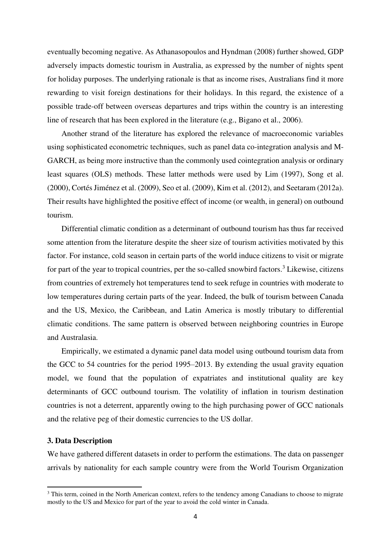eventually becoming negative. As [Athanasopoulos and Hyndman \(2008\)](http://www.sciencedirect.com/science/article/pii/S0261517711001403#bib2) further showed, GDP adversely impacts domestic tourism in Australia, as expressed by the number of nights spent for holiday purposes. The underlying rationale is that as income rises, Australians find it more rewarding to visit foreign destinations for their holidays. In this regard, the existence of a possible trade-off between overseas departures and trips within the country is an interesting line of research that has been explored in the literature (e.g., [Bigano et al., 2006\)](http://www.sciencedirect.com/science/article/pii/S0261517711001403#bib4).

Another strand of the literature has explored the relevance of macroeconomic variables using sophisticated econometric techniques, such as panel data co-integration analysis and M-GARCH, as being more instructive than the commonly used cointegration analysis or ordinary least squares (OLS) methods. These latter methods were used by Lim (1997), Song et al. (2000), Cortés Jiménez et al. (2009), Seo et al. (2009), Kim et al. (2012), and Seetaram (2012a). Their results have highlighted the positive effect of income (or wealth, in general) on outbound tourism.

Differential climatic condition as a determinant of outbound tourism has thus far received some attention from the literature despite the sheer size of tourism activities motivated by this factor. For instance, cold season in certain parts of the world induce citizens to visit or migrate for part of the year to tropical countries, per the so-called snowbird factors.<sup>3</sup> Likewise, citizens from countries of extremely hot temperatures tend to seek refuge in countries with moderate to low temperatures during certain parts of the year. Indeed, the bulk of tourism between Canada and the US, Mexico, the Caribbean, and Latin America is mostly tributary to differential climatic conditions. The same pattern is observed between neighboring countries in Europe and Australasia.

Empirically, we estimated a dynamic panel data model using outbound tourism data from the GCC to 54 countries for the period 1995–2013. By extending the usual gravity equation model, we found that the population of expatriates and institutional quality are key determinants of GCC outbound tourism. The volatility of inflation in tourism destination countries is not a deterrent, apparently owing to the high purchasing power of GCC nationals and the relative peg of their domestic currencies to the US dollar.

#### **3. Data Description**

 $\overline{a}$ 

We have gathered different datasets in order to perform the estimations. The data on passenger arrivals by nationality for each sample country were from the World Tourism Organization

<sup>&</sup>lt;sup>3</sup> This term, coined in the North American context, refers to the tendency among Canadians to choose to migrate mostly to the US and Mexico for part of the year to avoid the cold winter in Canada.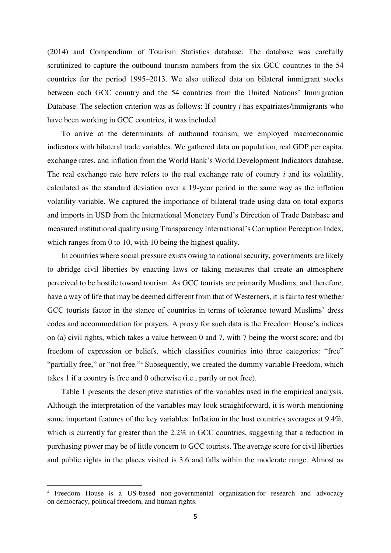(2014) and Compendium of Tourism Statistics database. The database was carefully scrutinized to capture the outbound tourism numbers from the six GCC countries to the 54 countries for the period 1995–2013. We also utilized data on bilateral immigrant stocks between each GCC country and the 54 countries from the United Nations' Immigration Database. The selection criterion was as follows: If country *j* has expatriates/immigrants who have been working in GCC countries, it was included.

To arrive at the determinants of outbound tourism, we employed macroeconomic indicators with bilateral trade variables. We gathered data on population, real GDP per capita, exchange rates, and inflation from the World Bank's World Development Indicators database. The real exchange rate here refers to the real exchange rate of country *i* and its volatility, calculated as the standard deviation over a 19-year period in the same way as the inflation volatility variable. We captured the importance of bilateral trade using data on total exports and imports in USD from the International Monetary Fund's Direction of Trade Database and measured institutional quality using Transparency International's Corruption Perception Index, which ranges from 0 to 10, with 10 being the highest quality.

In countries where social pressure exists owing to national security, governments are likely to abridge civil liberties by enacting laws or taking measures that create an atmosphere perceived to be hostile toward tourism. As GCC tourists are primarily Muslims, and therefore, have a way of life that may be deemed different from that of Westerners, it is fair to test whether GCC tourists factor in the stance of countries in terms of tolerance toward Muslims' dress codes and accommodation for prayers. A proxy for such data is the Freedom House's indices on (a) civil rights, which takes a value between 0 and 7, with 7 being the worst score; and (b) freedom of expression or beliefs, which classifies countries into three categories: "free" "partially free," or "not free."<sup>4</sup> Subsequently, we created the dummy variable Freedom, which takes 1 if a country is free and 0 otherwise (i.e., partly or not free).

Table 1 presents the descriptive statistics of the variables used in the empirical analysis. Although the interpretation of the variables may look straightforward, it is worth mentioning some important features of the key variables. Inflation in the host countries averages at 9.4%, which is currently far greater than the 2.2% in GCC countries, suggesting that a reduction in purchasing power may be of little concern to GCC tourists. The average score for civil liberties and public rights in the places visited is 3.6 and falls within the moderate range. Almost as

 $\overline{a}$ 

<sup>4</sup> Freedom House is a US-based [non-governmental organization](http://en.wikipedia.org/wiki/Non-governmental_organization) for research and advocacy on [democracy,](http://en.wikipedia.org/wiki/Democracy) [political freedom,](http://en.wikipedia.org/wiki/Freedom_(political)) and [human rights.](http://en.wikipedia.org/wiki/Human_rights)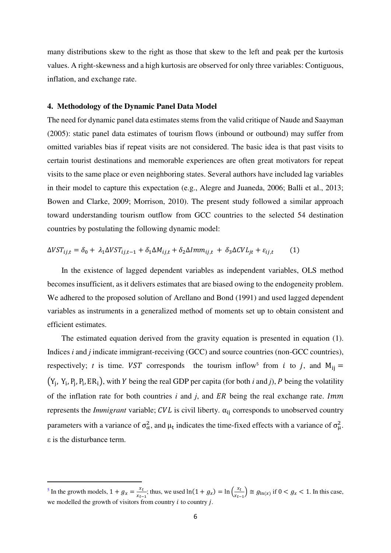many distributions skew to the right as those that skew to the left and peak per the kurtosis values. A right-skewness and a high kurtosis are observed for only three variables: Contiguous, inflation, and exchange rate.

#### **4. Methodology of the Dynamic Panel Data Model**

The need for dynamic panel data estimates stems from the valid critique of Naude and Saayman (2005): static panel data estimates of tourism flows (inbound or outbound) may suffer from omitted variables bias if repeat visits are not considered. The basic idea is that past visits to certain tourist destinations and memorable experiences are often great motivators for repeat visits to the same place or even neighboring states. Several authors have included lag variables in their model to capture this expectation (e.g., Alegre and Juaneda, 2006; Balli et al., 2013; Bowen and Clarke, 2009; Morrison, 2010). The present study followed a similar approach toward understanding tourism outflow from GCC countries to the selected 54 destination countries by postulating the following dynamic model:

$$
\Delta VST_{ij,t} = \delta_0 + \lambda_1 \Delta VST_{ij,t-1} + \delta_1 \Delta M_{ij,t} + \delta_2 \Delta Imm_{ij,t} + \delta_3 \Delta CVL_{jt} + \varepsilon_{ij,t} \tag{1}
$$

In the existence of lagged dependent variables as independent variables, OLS method becomes insufficient, as it delivers estimates that are biased owing to the endogeneity problem. We adhered to the proposed solution of Arellano and Bond (1991) and used lagged dependent variables as instruments in a generalized method of moments set up to obtain consistent and efficient estimates.

The estimated equation derived from the gravity equation is presented in equation (1). Indices *i* and *j* indicate immigrant-receiving (GCC) and source countries (non-GCC countries), respectively; *t* is time. *VST* corresponds the tourism inflow<sup>5</sup> from *i* to *j*, and  $M_{ij} =$  $(Y_j, Y_i, P_j, P_i, ER_i)$ , with Y being the real GDP per capita (for both *i* and *j*), P being the volatility of the inflation rate for both countries  $i$  and  $j$ , and  $ER$  being the real exchange rate. Imm represents the *Immigrant* variable;  $CVL$  is civil liberty.  $\alpha_{ii}$  corresponds to unobserved country parameters with a variance of  $\sigma_{\alpha}^2$ , and  $\mu_t$  indicates the time-fixed effects with a variance of  $\sigma_{\mu}^2$ . ε is the disturbance term.

 $\overline{a}$ 

<sup>&</sup>lt;sup>5</sup> In the growth models,  $1 + g_x = \frac{x_t}{x_t}$  $\frac{x_t}{x_{t-1}}$ ; thus, we used  $\ln(1 + g_x) = \ln\left(\frac{x_t}{x_{t-1}}\right)$  $\frac{x}{x_{t-1}}$   $\cong$   $g_{\ln(x)}$  if  $0 < g_x < 1$ . In this case, we modelled the growth of visitors from country  $i$  to country  $j$ .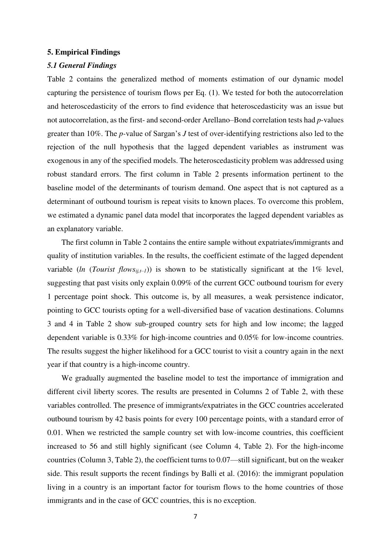#### **5. Empirical Findings**

#### *5.1 General Findings*

Table 2 contains the generalized method of moments estimation of our dynamic model capturing the persistence of tourism flows per Eq. (1). We tested for both the autocorrelation and heteroscedasticity of the errors to find evidence that heteroscedasticity was an issue but not autocorrelation, as the first- and second-order Arellano–Bond correlation tests had *p*-values greater than 10%. The *p-*value of Sargan's *J* test of over-identifying restrictions also led to the rejection of the null hypothesis that the lagged dependent variables as instrument was exogenous in any of the specified models. The heteroscedasticity problem was addressed using robust standard errors. The first column in Table 2 presents information pertinent to the baseline model of the determinants of tourism demand. One aspect that is not captured as a determinant of outbound tourism is repeat visits to known places. To overcome this problem, we estimated a dynamic panel data model that incorporates the lagged dependent variables as an explanatory variable.

The first column in Table 2 contains the entire sample without expatriates/immigrants and quality of institution variables. In the results, the coefficient estimate of the lagged dependent variable (*ln* (*Tourist flows<sub>ij,t-1</sub>)*) is shown to be statistically significant at the 1% level, suggesting that past visits only explain 0.09% of the current GCC outbound tourism for every 1 percentage point shock. This outcome is, by all measures, a weak persistence indicator, pointing to GCC tourists opting for a well-diversified base of vacation destinations. Columns 3 and 4 in Table 2 show sub-grouped country sets for high and low income; the lagged dependent variable is 0.33% for high-income countries and 0.05% for low-income countries. The results suggest the higher likelihood for a GCC tourist to visit a country again in the next year if that country is a high-income country.

We gradually augmented the baseline model to test the importance of immigration and different civil liberty scores. The results are presented in Columns 2 of Table 2, with these variables controlled. The presence of immigrants/expatriates in the GCC countries accelerated outbound tourism by 42 basis points for every 100 percentage points, with a standard error of 0.01. When we restricted the sample country set with low-income countries, this coefficient increased to 56 and still highly significant (see Column 4, Table 2). For the high-income countries (Column 3, Table 2), the coefficient turns to 0.07—still significant, but on the weaker side. This result supports the recent findings by Balli et al. (2016): the immigrant population living in a country is an important factor for tourism flows to the home countries of those immigrants and in the case of GCC countries, this is no exception.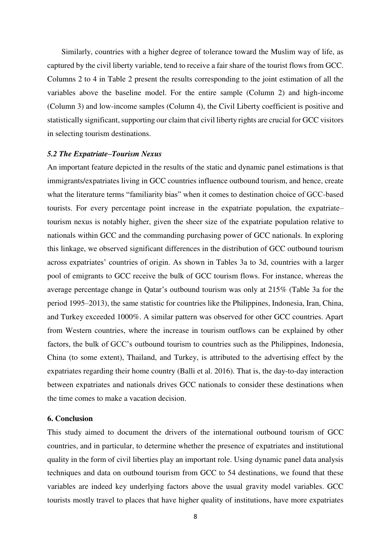Similarly, countries with a higher degree of tolerance toward the Muslim way of life, as captured by the civil liberty variable, tend to receive a fair share of the tourist flows from GCC. Columns 2 to 4 in Table 2 present the results corresponding to the joint estimation of all the variables above the baseline model. For the entire sample (Column 2) and high-income (Column 3) and low-income samples (Column 4), the Civil Liberty coefficient is positive and statistically significant, supporting our claim that civil liberty rights are crucial for GCC visitors in selecting tourism destinations.

#### *5.2 The Expatriate–Tourism Nexus*

An important feature depicted in the results of the static and dynamic panel estimations is that immigrants/expatriates living in GCC countries influence outbound tourism, and hence, create what the literature terms "familiarity bias" when it comes to destination choice of GCC-based tourists. For every percentage point increase in the expatriate population, the expatriate– tourism nexus is notably higher, given the sheer size of the expatriate population relative to nationals within GCC and the commanding purchasing power of GCC nationals. In exploring this linkage, we observed significant differences in the distribution of GCC outbound tourism across expatriates' countries of origin. As shown in Tables 3a to 3d, countries with a larger pool of emigrants to GCC receive the bulk of GCC tourism flows. For instance, whereas the average percentage change in Qatar's outbound tourism was only at 215% (Table 3a for the period 1995–2013), the same statistic for countries like the Philippines, Indonesia, Iran, China, and Turkey exceeded 1000%. A similar pattern was observed for other GCC countries. Apart from Western countries, where the increase in tourism outflows can be explained by other factors, the bulk of GCC's outbound tourism to countries such as the Philippines, Indonesia, China (to some extent), Thailand, and Turkey, is attributed to the advertising effect by the expatriates regarding their home country (Balli et al. 2016). That is, the day-to-day interaction between expatriates and nationals drives GCC nationals to consider these destinations when the time comes to make a vacation decision.

#### **6. Conclusion**

This study aimed to document the drivers of the international outbound tourism of GCC countries, and in particular, to determine whether the presence of expatriates and institutional quality in the form of civil liberties play an important role. Using dynamic panel data analysis techniques and data on outbound tourism from GCC to 54 destinations, we found that these variables are indeed key underlying factors above the usual gravity model variables. GCC tourists mostly travel to places that have higher quality of institutions, have more expatriates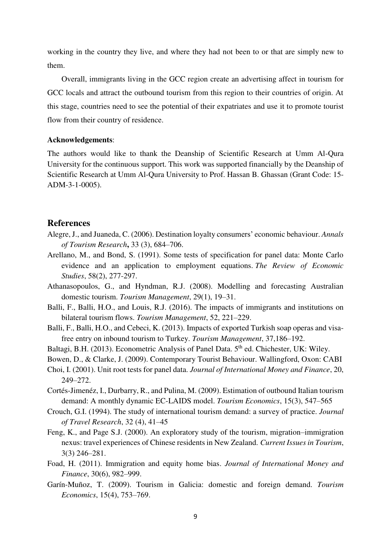working in the country they live, and where they had not been to or that are simply new to them.

Overall, immigrants living in the GCC region create an advertising affect in tourism for GCC locals and attract the outbound tourism from this region to their countries of origin. At this stage, countries need to see the potential of their expatriates and use it to promote tourist flow from their country of residence.

#### **Acknowledgements**:

The authors would like to thank the Deanship of Scientific Research at Umm Al-Qura University for the continuous support. This work was supported financially by the Deanship of Scientific Research at Umm Al-Qura University to Prof. Hassan B. Ghassan (Grant Code: 15- ADM-3-1-0005).

## **References**

- Alegre, J., and Juaneda, C. (2006). Destination loyalty consumers' economic behaviour. *Annals of Tourism Research***,** 33 (3), 684–706.
- Arellano, M., and Bond, S. (1991). Some tests of specification for panel data: Monte Carlo evidence and an application to employment equations. *The Review of Economic Studies*, 58(2), 277-297.
- Athanasopoulos, G., and Hyndman, R.J. (2008). Modelling and forecasting Australian domestic tourism. *Tourism Management*, 29(1), 19–31.
- Balli, F., Balli, H.O., and Louis, R.J. (2016). The impacts of immigrants and institutions on bilateral tourism flows. *Tourism Management*, 52, 221–229.
- Balli, F., Balli, H.O., and Cebeci, K. (2013). Impacts of exported Turkish soap operas and visafree entry on inbound tourism to Turkey. *Tourism Management*, 37,186–192.
- Baltagi, B.H. (2013). Econometric Analysis of Panel Data. 5<sup>th</sup> ed. Chichester, UK: Wiley.
- Bowen, D., & Clarke, J. (2009). Contemporary Tourist Behaviour. Wallingford, Oxon: CABI
- Choi, I. (2001). Unit root tests for panel data. *Journal of International Money and Finance*, 20, 249–272.
- Cortés-Jimenéz, I., Durbarry, R., and Pulina, M. (2009). Estimation of outbound Italian tourism demand: A monthly dynamic EC-LAIDS model. *Tourism Economics*, 15(3), 547–565
- Crouch, G.I. (1994). The study of international tourism demand: a survey of practice. *Journal of Travel Research*, 32 (4), 41–45
- Feng, K., and Page S.J. (2000). An exploratory study of the tourism, migration–immigration nexus: travel experiences of Chinese residents in New Zealand. *Current Issues in Tourism*, 3(3) 246–281.
- Foad, H. (2011). [Immigration and equity home bias.](http://ideas.repec.org/a/eee/jimfin/v30y2011i6p982-998.html) *[Journal of International Money and](http://ideas.repec.org/s/eee/jimfin.html)  [Finance](http://ideas.repec.org/s/eee/jimfin.html)*, 30(6), 982–999.
- Garín-Muñoz, T. (2009). Tourism in Galicia: domestic and foreign demand. *Tourism Economics*, 15(4), 753–769.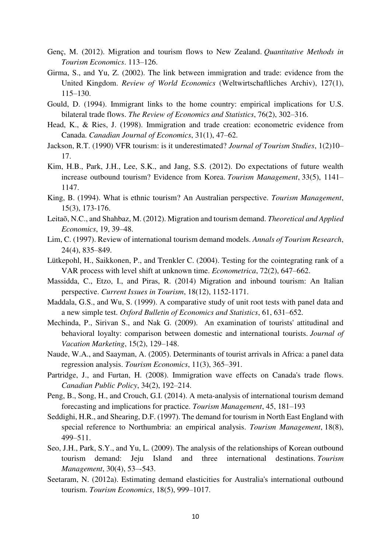- Genç, M. (2012). Migration and tourism flows to New Zealand. *Quantitative Methods in Tourism Economics*. 113–126.
- Girma, S., and Yu, Z. (2002). The link between immigration and trade: evidence from the United Kingdom. *Review of World Economics* (Weltwirtschaftliches Archiv), 127(1), 115–130.
- Gould, D. (1994). Immigrant links to the home country: empirical implications for U.S. bilateral trade flows. *The Review of Economics and Statistics*, 76(2), 302–316.
- Head, K., & Ries, J. (1998). Immigration and trade creation: econometric evidence from Canada. *Canadian Journal of Economics*, 31(1), 47–62.
- Jackson, R.T. (1990) VFR tourism: is it underestimated? *Journal of Tourism Studies*, 1(2)10– 17.
- Kim, H.B., Park, J.H., Lee, S.K., and Jang, S.S. (2012). Do expectations of future wealth increase outbound tourism? Evidence from Korea. *Tourism Management*, 33(5), 1141– 1147.
- King, B. (1994). What is ethnic tourism? An Australian perspective. *Tourism Management*, 15(3), 173-176.
- Leitaõ, N.C., and Shahbaz, M. (2012). Migration and tourism demand. *Theoretical and Applied Economics*, 19, 39–48.
- Lim, C. (1997). Review of international tourism demand models. *Annals of Tourism Research*, 24(4), 835–849.
- Lütkepohl, H., Saikkonen, P., and Trenkler C. (2004). Testing for the cointegrating rank of a VAR process with level shift at unknown time. *Econometrica*, 72(2), 647–662.
- Massidda, C., Etzo, I., and Piras, R. (2014) Migration and inbound tourism: An Italian perspective. *Current Issues in Tourism*, 18(12), 1152-1171.
- Maddala, G.S., and Wu, S. (1999). A comparative study of unit root tests with panel data and a new simple test. *Oxford Bulletin of Economics and Statistics*, 61, 631–652.
- Mechinda, P., Sirivan S., and Nak G. (2009). An examination of tourists' attitudinal and behavioral loyalty: comparison between domestic and international tourists. *Journal of Vacation Marketing*, 15(2), 129–148.
- Naude, W.A., and Saayman, A. (2005). Determinants of tourist arrivals in Africa: a panel data regression analysis. *Tourism Economics*, 11(3), 365–391.
- Partridge, J., and Furtan, H. (2008). Immigration wave effects on Canada's trade flows. *Canadian Public Policy*, 34(2), 192–214.
- Peng, B., Song, H., and Crouch, G.I. (2014). A meta-analysis of international tourism demand forecasting and implications for practice. *Tourism Management*, 45, 181–193
- Seddighi, H.R., and Shearing, D.F. (1997). The demand for tourism in North East England with special reference to Northumbria: an empirical analysis. *Tourism Management*, 18(8), 499–511.
- Seo, J.H., Park, S.Y., and Yu, L. (2009). The analysis of the relationships of Korean outbound tourism demand: Jeju Island and three international destinations. *Tourism Management*, 30(4), 53–-543.
- Seetaram, N. (2012a). Estimating demand elasticities for Australia's international outbound tourism. *Tourism Economics*, 18(5), 999–1017.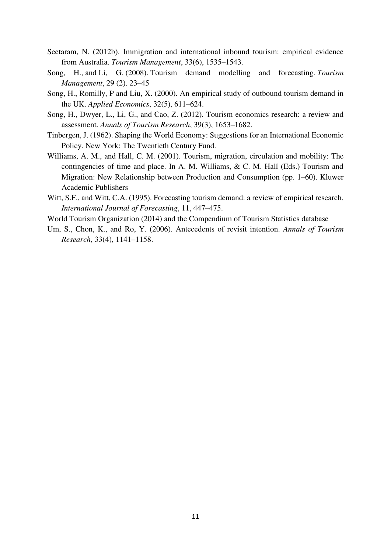- Seetaram, N. (2012b). Immigration and international inbound tourism: empirical evidence from Australia. *Tourism Management*, 33(6), 1535–1543.
- Song, H., and Li, G. (2008). Tourism demand modelling and forecasting. *Tourism Management*, 29 (2). 23–45
- Song, H., Romilly, P and Liu, X. (2000). An empirical study of outbound tourism demand in the UK. *Applied Economics*, 32(5), 611–624.
- Song, H., Dwyer, L., Li, G., and Cao, Z. (2012). Tourism economics research: a review and assessment. *Annals of Tourism Research*, 39(3), 1653–1682.
- Tinbergen, J. (1962). Shaping the World Economy: Suggestions for an International Economic Policy. New York: The Twentieth Century Fund.
- Williams, A. M., and Hall, C. M. (2001). Tourism, migration, circulation and mobility: The contingencies of time and place. In A. M. Williams, & C. M. Hall (Eds.) Tourism and Migration: New Relationship between Production and Consumption (pp. 1–60). Kluwer Academic Publishers
- Witt, S.F., and Witt, C.A. (1995). Forecasting tourism demand: a review of empirical research. *International Journal of Forecasting*, 11, 447–475.
- World Tourism Organization (2014) and the Compendium of Tourism Statistics database
- Um, S., Chon, K., and Ro, Y. (2006). Antecedents of revisit intention. *Annals of Tourism Research*, 33(4), 1141–1158.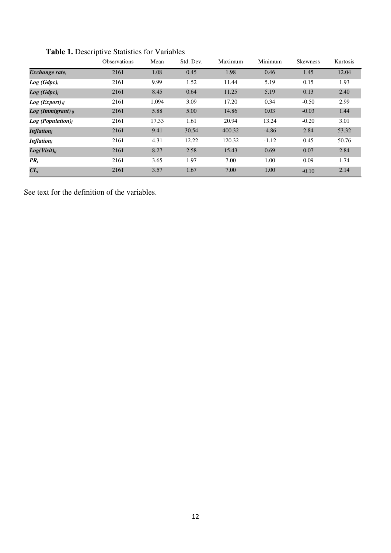|                               | <b>Observations</b> | Mean  | Std. Dev. | Maximum | Minimum | <b>Skewness</b> | Kurtosis |
|-------------------------------|---------------------|-------|-----------|---------|---------|-----------------|----------|
| Exchange rate <sub>i</sub>    | 2161                | 1.08  | 0.45      | 1.98    | 0.46    | 1.45            | 12.04    |
| Log(Gdpc) <sub>i</sub>        | 2161                | 9.99  | 1.52      | 11.44   | 5.19    | 0.15            | 1.93     |
| Log(Gdpc) <sub>j</sub>        | 2161                | 8.45  | 0.64      | 11.25   | 5.19    | 0.13            | 2.40     |
| $Log (Expert)_{ij}$           | 2161                | 1.094 | 3.09      | 17.20   | 0.34    | $-0.50$         | 2.99     |
| $Log (Immigrant)_{ii}$        | 2161                | 5.88  | 5.00      | 14.86   | 0.03    | $-0.03$         | 1.44     |
| Log (Population) <sub>i</sub> | 2161                | 17.33 | 1.61      | 20.94   | 13.24   | $-0.20$         | 3.01     |
| <b>Inflation</b> <sub>i</sub> | 2161                | 9.41  | 30.54     | 400.32  | $-4.86$ | 2.84            | 53.32    |
| <b>Inflation</b> <sub>i</sub> | 2161                | 4.31  | 12.22     | 120.32  | $-1.12$ | 0.45            | 50.76    |
| $Log(Visit)_{ij}$             | 2161                | 8.27  | 2.58      | 15.43   | 0.69    | 0.07            | 2.84     |
| $PR_i$                        | 2161                | 3.65  | 1.97      | 7.00    | 1.00    | 0.09            | 1.74     |
| $CL_j$                        | 2161                | 3.57  | 1.67      | 7.00    | 1.00    | $-0.10$         | 2.14     |

 **Table 1.** Descriptive Statistics for Variables

See text for the definition of the variables.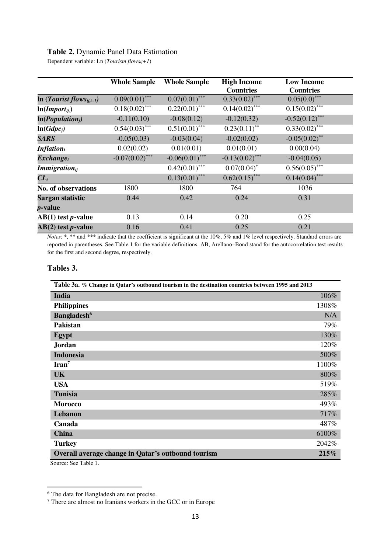## **Table 2.** Dynamic Panel Data Estimation

Dependent variable: Ln (*Tourism flowsij+1*)

|                                               | <b>Whole Sample</b> | <b>Whole Sample</b> | <b>High Income</b> | <b>Low Income</b> |  |
|-----------------------------------------------|---------------------|---------------------|--------------------|-------------------|--|
|                                               |                     |                     | <b>Countries</b>   | <b>Countries</b>  |  |
| In ( <i>Tourist flows</i> <sub>ij,t-1</sub> ) | $0.09(0.01)$ ***    | $0.07(0.01)$ ***    | $0.33(0.02)$ ***   | $0.05(0.0)$ ***   |  |
| $ln(Import_{ii})$                             | $0.18(0.02)$ ***    | $0.22(0.01)$ ***    | $0.14(0.02)$ ***   | $0.15(0.02)$ ***  |  |
| ln(Population <sub>j</sub> )                  | $-0.11(0.10)$       | $-0.08(0.12)$       | $-0.12(0.32)$      | $-0.52(0.12)$ *** |  |
| $ln(Gdpc_i)$                                  | $0.54(0.03)$ ***    | $0.51(0.01)$ ***    | $0.23(0.11)$ **    | $0.33(0.02)$ ***  |  |
| <b>SARS</b>                                   | $-0.05(0.03)$       | $-0.03(0.04)$       | $-0.02(0.02)$      | $-0.05(0.02)$ **  |  |
| <b>Inflation</b> i                            | 0.02(0.02)          | 0.01(0.01)          | 0.01(0.01)         | 0.00(0.04)        |  |
| $\mathbf{Exchange}_i$                         | $-0.07(0.02)$ ***   | $-0.06(0.01)$ ***   | $-0.13(0.02)$ ***  | $-0.04(0.05)$     |  |
| <i>Immigration</i> $_{ii}$                    |                     | $0.42(0.01)$ ***    | $0.07(0.04)^*$     | $0.56(0.05)$ ***  |  |
| $CL_i$                                        |                     | $0.13(0.01)$ ***    | $0.62(0.15)$ ***   | $0.14(0.04)$ ***  |  |
| <b>No. of observations</b>                    | 1800                | 1800                | 764                | 1036              |  |
| Sargan statistic                              | 0.44                | 0.42                | 0.24               | 0.31              |  |
| <i>p</i> -value                               |                     |                     |                    |                   |  |
| $AB(1)$ test <i>p</i> -value                  | 0.13                | 0.14                | 0.20               | 0.25              |  |
| $AB(2)$ test <i>p</i> -value                  | 0.16                | 0.41                | 0.25               | 0.21              |  |

*Notes*: \*, \*\* and \*\*\* indicate that the coefficient is significant at the 10%, 5% and 1% level respectively. Standard errors are reported in parentheses. See Table 1 for the variable definitions. AB, Arellano–Bond stand for the autocorrelation test results for the first and second degree, respectively.

#### **Tables 3.**

| Table 3a. % Change in Qatar's outbound tourism in the destination countries between 1995 and 2013 |       |
|---------------------------------------------------------------------------------------------------|-------|
| India                                                                                             | 106%  |
| <b>Philippines</b>                                                                                | 1308% |
| <b>Bangladesh</b> <sup>6</sup>                                                                    | N/A   |
| <b>Pakistan</b>                                                                                   | 79%   |
| Egypt                                                                                             | 130%  |
| Jordan                                                                                            | 120%  |
| <b>Indonesia</b>                                                                                  | 500%  |
| $\text{Iran}^7$                                                                                   | 1100% |
| <b>UK</b>                                                                                         | 800%  |
| <b>USA</b>                                                                                        | 519%  |
| <b>Tunisia</b>                                                                                    | 285%  |
| <b>Morocco</b>                                                                                    | 493%  |
| Lebanon                                                                                           | 717%  |
| Canada                                                                                            | 487%  |
| <b>China</b>                                                                                      | 6100% |
| <b>Turkey</b>                                                                                     | 2042% |
| Overall average change in Qatar's outbound tourism                                                | 215%  |
| Source: See Table 1.                                                                              |       |

 $\overline{a}$ 

 $^6$  The data for Bangladesh are not precise.<br>
<sup>7</sup> There are almost no Iranians workers in the GCC or in Europe